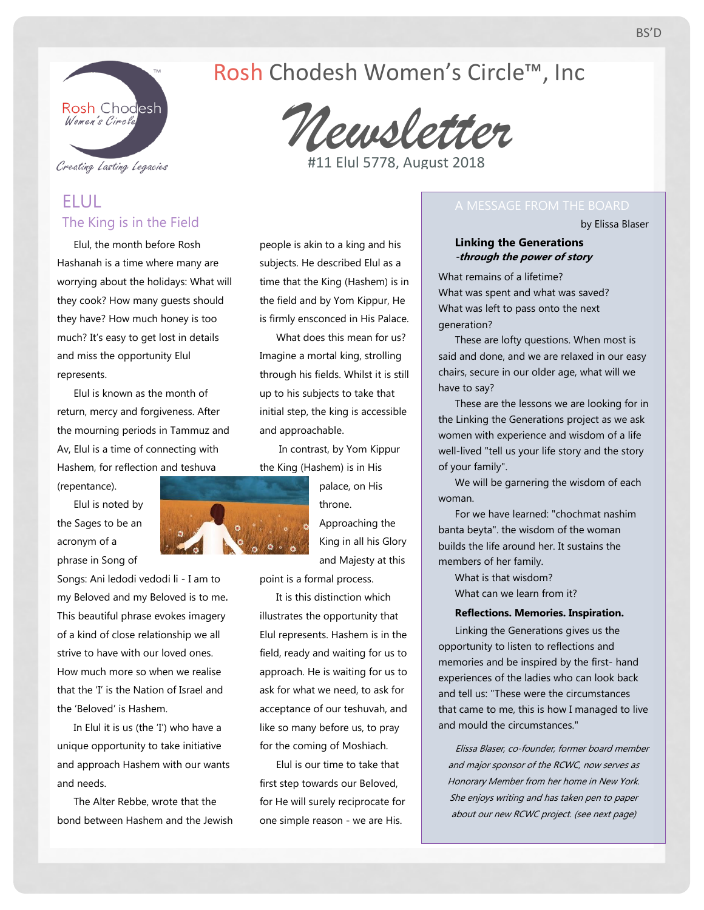

### Creating Lasting Legacies

# ELUL The King is in the Field

Elul, the month before Rosh Hashanah is a time where many are worrying about the holidays: What will they cook? How many guests should they have? How much honey is too much? It's easy to get lost in details and miss the opportunity Elul represents.

Elul is known as the month of return, mercy and forgiveness. After the mourning periods in Tammuz and Av, Elul is a time of connecting with Hashem, for reflection and teshuva

Elul is noted by the Sages to be an acronym of a phrase in Song of

(repentance).

Songs: Ani ledodi vedodi li - I am to my Beloved and my Beloved is to me. This beautiful phrase evokes imagery of a kind of close relationship we all strive to have with our loved ones. How much more so when we realise that the 'I' is the Nation of Israel and the 'Beloved' is Hashem.

In Elul it is us (the 'I') who have a unique opportunity to take initiative and approach Hashem with our wants and needs.

The Alter Rebbe, wrote that the bond between Hashem and the Jewish

# initial step, the king is accessible and approachable. In contrast, by Yom Kippur

the King (Hashem) is in His

people is akin to a king and his subjects. He described Elul as a time that the King (Hashem) is in the field and by Yom Kippur, He is firmly ensconced in His Palace. What does this mean for us? Imagine a mortal king, strolling through his fields. Whilst it is still up to his subjects to take that

> palace, on His throne. Approaching the King in all his Glory and Majesty at this

point is a formal process.

It is this distinction which illustrates the opportunity that Elul represents. Hashem is in the field, ready and waiting for us to approach. He is waiting for us to ask for what we need, to ask for acceptance of our teshuvah, and like so many before us, to pray for the coming of Moshiach.

Elul is our time to take that first step towards our Beloved, for He will surely reciprocate for one simple reason - we are His.

by Elissa Blaser

### **Linking the Generations** -**through the power of story**

What remains of a lifetime? What was spent and what was saved? What was left to pass onto the next generation?

These are lofty questions. When most is said and done, and we are relaxed in our easy chairs, secure in our older age, what will we have to say?

These are the lessons we are looking for in the Linking the Generations project as we ask women with experience and wisdom of a life well-lived "tell us your life story and the story of your family".

We will be garnering the wisdom of each woman.

For we have learned: "chochmat nashim banta beyta". the wisdom of the woman builds the life around her. It sustains the members of her family.

What is that wisdom? What can we learn from it?

### **Reflections. Memories. Inspiration.**

Linking the Generations gives us the opportunity to listen to reflections and memories and be inspired by the first- hand experiences of the ladies who can look back and tell us: "These were the circumstances that came to me, this is how I managed to live and mould the circumstances."

Elissa Blaser, co-founder, former board member and major sponsor of the RCWC, now serves as Honorary Member from her home in New York. She enjoys writing and has taken pen to paper about our new RCWC project. (see next page)



*Newsletter*

Rosh Chodesh Women's Circle™, Inc

#11 Elul 5778, August 2018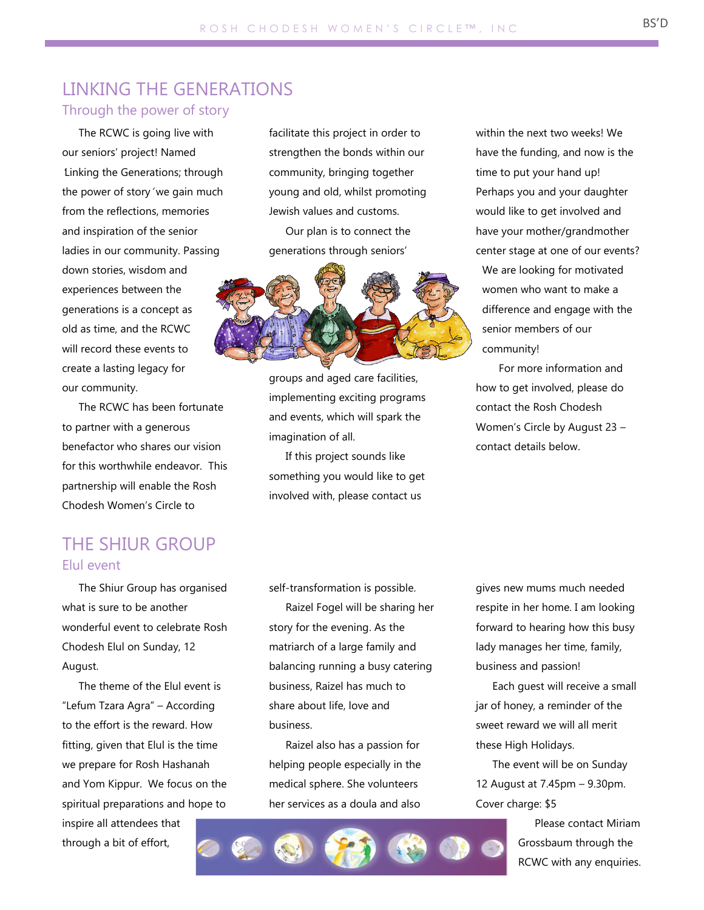# LINKING THE GENERATIONS

## Through the power of story

The RCWC is going live with our seniors' project! Named 'Linking the Generations; through the power of story' we gain much from the reflections, memories and inspiration of the senior ladies in our community. Passing down stories, wisdom and experiences between the generations is a concept as old as time, and the RCWC will record these events to create a lasting legacy for our community.

The RCWC has been fortunate to partner with a generous benefactor who shares our vision for this worthwhile endeavor. This partnership will enable the Rosh Chodesh Women's Circle to

# THE SHIUR GROUP Elul event

The Shiur Group has organised what is sure to be another wonderful event to celebrate Rosh Chodesh Elul on Sunday, 12 August.

The theme of the Elul event is "Lefum Tzara Agra" – According to the effort is the reward. How fitting, given that Elul is the time we prepare for Rosh Hashanah and Yom Kippur. We focus on the spiritual preparations and hope to

inspire all attendees that through a bit of effort,

facilitate this project in order to strengthen the bonds within our community, bringing together young and old, whilst promoting Jewish values and customs.

Our plan is to connect the generations through seniors'



groups and aged care facilities, implementing exciting programs and events, which will spark the imagination of all.

If this project sounds like something you would like to get involved with, please contact us

within the next two weeks! We have the funding, and now is the time to put your hand up! Perhaps you and your daughter would like to get involved and have your mother/grandmother center stage at one of our events? We are looking for motivated women who want to make a difference and engage with the senior members of our community!

For more information and how to get involved, please do contact the Rosh Chodesh Women's Circle by August 23 – contact details below.

self-transformation is possible.

Raizel Fogel will be sharing her story for the evening. As the matriarch of a large family and balancing running a busy catering business, Raizel has much to share about life, love and business.

Raizel also has a passion for helping people especially in the medical sphere. She volunteers her services as a doula and also

gives new mums much needed respite in her home. I am looking forward to hearing how this busy lady manages her time, family, business and passion!

Each guest will receive a small jar of honey, a reminder of the sweet reward we will all merit these High Holidays.

The event will be on Sunday 12 August at 7.45pm – 9.30pm. Cover charge: \$5

> Please contact Miriam Grossbaum through the RCWC with any enquiries.